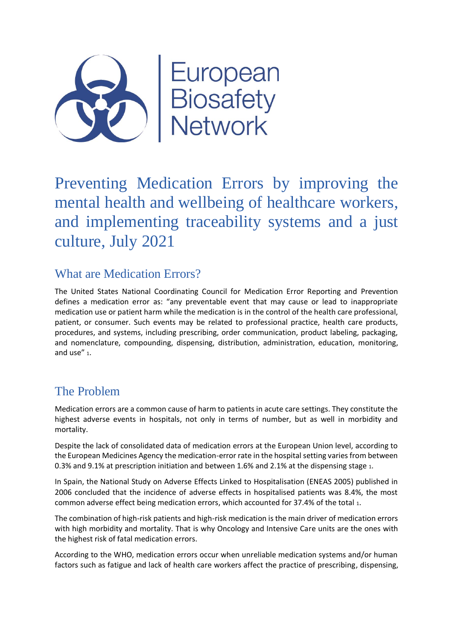

Preventing Medication Errors by improving the mental health and wellbeing of healthcare workers, and implementing traceability systems and a just culture, July 2021

## What are Medication Errors?

The United States National Coordinating Council for Medication Error Reporting and Prevention defines a medication error as: "any preventable event that may cause or lead to inappropriate medication use or patient harm while the medication is in the control of the health care professional, patient, or consumer. Such events may be related to professional practice, health care products, procedures, and systems, including prescribing, order communication, product labeling, packaging, and nomenclature, compounding, dispensing, distribution, administration, education, monitoring, and use" <sup>1</sup>.

# The Problem

Medication errors are a common cause of harm to patients in acute care settings. They constitute the highest adverse events in hospitals, not only in terms of number, but as well in morbidity and mortality.

Despite the lack of consolidated data of medication errors at the European Union level, according to the European Medicines Agency the medication-error rate in the hospital setting varies from between 0.3% and 9.1% at prescription initiation and between 1.6% and 2.1% at the dispensing stage <sup>1</sup>.

In Spain, the National Study on Adverse Effects Linked to Hospitalisation (ENEAS 2005) published in 2006 concluded that the incidence of adverse effects in hospitalised patients was 8.4%, the most common adverse effect being medication errors, which accounted for 37.4% of the total <sup>1</sup>.

The combination of high-risk patients and high-risk medication is the main driver of medication errors with high morbidity and mortality. That is why Oncology and Intensive Care units are the ones with the highest risk of fatal medication errors.

According to the WHO, medication errors occur when unreliable medication systems and/or human factors such as fatigue and lack of health care workers affect the practice of prescribing, dispensing,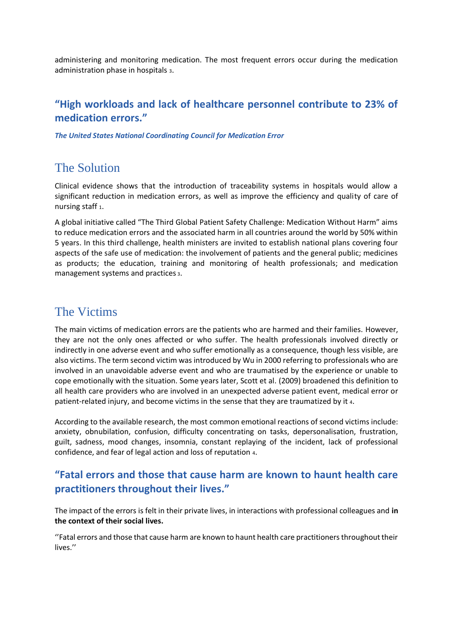administering and monitoring medication. The most frequent errors occur during the medication administration phase in hospitals <sup>3</sup>.

#### **"High workloads and lack of healthcare personnel contribute to 23% of medication errors."**

*The United States National Coordinating Council for Medication Error*

### The Solution

Clinical evidence shows that the introduction of traceability systems in hospitals would allow a significant reduction in medication errors, as well as improve the efficiency and quality of care of nursing staff <sup>1</sup>.

A global initiative called "The Third Global Patient Safety Challenge: Medication Without Harm" aims to reduce medication errors and the associated harm in all countries around the world by 50% within 5 years. In this third challenge, health ministers are invited to establish national plans covering four aspects of the safe use of medication: the involvement of patients and the general public; medicines as products; the education, training and monitoring of health professionals; and medication management systems and practices <sup>3</sup>.

#### The Victims

The main victims of medication errors are the patients who are harmed and their families. However, they are not the only ones affected or who suffer. The health professionals involved directly or indirectly in one adverse event and who suffer emotionally as a consequence, though less visible, are also victims. The term second victim was introduced by Wu in 2000 referring to professionals who are involved in an unavoidable adverse event and who are traumatised by the experience or unable to cope emotionally with the situation. Some years later, Scott et al. (2009) broadened this definition to all health care providers who are involved in an unexpected adverse patient event, medical error or patient-related injury, and become victims in the sense that they are traumatized by it <sup>4</sup>.

According to the available research, the most common emotional reactions of second victims include: anxiety, obnubilation, confusion, difficulty concentrating on tasks, depersonalisation, frustration, guilt, sadness, mood changes, insomnia, constant replaying of the incident, lack of professional confidence, and fear of legal action and loss of reputation <sup>4</sup>.

### **"Fatal errors and those that cause harm are known to haunt health care practitioners throughout their lives."**

The impact of the errors is felt in their private lives, in interactions with professional colleagues and **in the context of their social lives.**

''Fatal errors and those that cause harm are known to haunt health care practitioners throughout their lives.''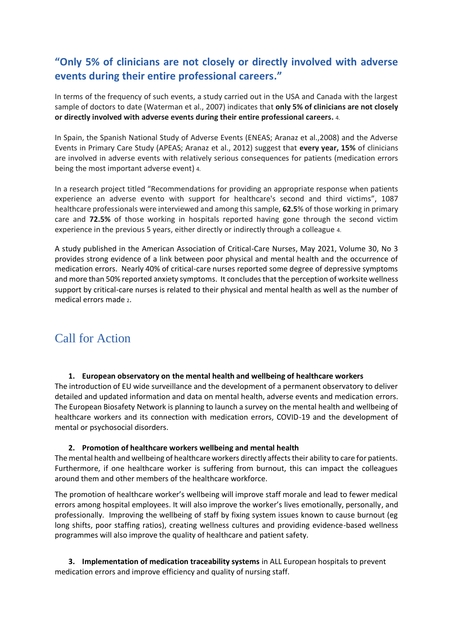### **"Only 5% of clinicians are not closely or directly involved with adverse events during their entire professional careers."**

In terms of the frequency of such events, a study carried out in the USA and Canada with the largest sample of doctors to date (Waterman et al., 2007) indicates that **only 5% of clinicians are not closely or directly involved with adverse events during their entire professional careers.** 4.

In Spain, the Spanish National Study of Adverse Events (ENEAS; Aranaz et al.,2008) and the Adverse Events in Primary Care Study (APEAS; Aranaz et al., 2012) suggest that **every year, 15%** of clinicians are involved in adverse events with relatively serious consequences for patients (medication errors being the most important adverse event) 4.

In a research project titled "Recommendations for providing an appropriate response when patients experience an adverse evento with support for healthcare's second and third victims", 1087 healthcare professionals were interviewed and among this sample, **62.5**% of those working in primary care and **72.5%** of those working in hospitals reported having gone through the second victim experience in the previous 5 years, either directly or indirectly through a colleague 4.

A study published in the American Association of Critical-Care Nurses, May 2021, Volume 30, No 3 provides strong evidence of a link between poor physical and mental health and the occurrence of medication errors. Nearly 40% of critical-care nurses reported some degree of depressive symptoms and more than 50% reported anxiety symptoms. It concludes that the perception of worksite wellness support by critical-care nurses is related to their physical and mental health as well as the number of medical errors made 2.

## Call for Action

#### **1. European observatory on the mental health and wellbeing of healthcare workers**

The introduction of EU wide surveillance and the development of a permanent observatory to deliver detailed and updated information and data on mental health, adverse events and medication errors. The European Biosafety Network is planning to launch a survey on the mental health and wellbeing of healthcare workers and its connection with medication errors, COVID-19 and the development of mental or psychosocial disorders.

#### **2. Promotion of healthcare workers wellbeing and mental health**

The mental health and wellbeing of healthcare workers directly affects their ability to care for patients. Furthermore, if one healthcare worker is suffering from burnout, this can impact the colleagues around them and other members of the healthcare workforce.

The promotion of healthcare worker's wellbeing will improve staff morale and lead to fewer medical errors among hospital employees. It will also improve the worker's lives emotionally, personally, and professionally. Improving the wellbeing of staff by fixing system issues known to cause burnout (eg long shifts, poor staffing ratios), creating wellness cultures and providing evidence-based wellness programmes will also improve the quality of healthcare and patient safety.

**3. Implementation of medication traceability systems** in ALL European hospitals to prevent medication errors and improve efficiency and quality of nursing staff.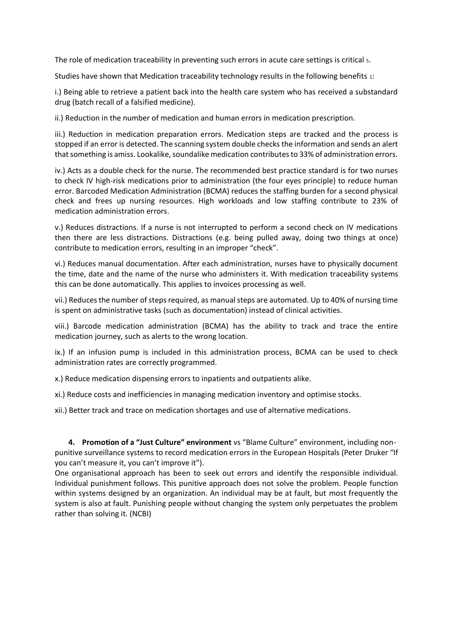The role of medication traceability in preventing such errors in acute care settings is critical <sup>5</sup>.

Studies have shown that Medication traceability technology results in the following benefits <sup>1</sup>:

i.) Being able to retrieve a patient back into the health care system who has received a substandard drug (batch recall of a falsified medicine).

ii.) Reduction in the number of medication and human errors in medication prescription.

iii.) Reduction in medication preparation errors. Medication steps are tracked and the process is stopped if an error is detected. The scanning system double checks the information and sends an alert that something is amiss. Lookalike, soundalike medication contributes to 33% of administration errors.

iv.) Acts as a double check for the nurse. The recommended best practice standard is for two nurses to check IV high-risk medications prior to administration (the four eyes principle) to reduce human error. Barcoded Medication Administration (BCMA) reduces the staffing burden for a second physical check and frees up nursing resources. High workloads and low staffing contribute to 23% of medication administration errors.

v.) Reduces distractions. If a nurse is not interrupted to perform a second check on IV medications then there are less distractions. Distractions (e.g. being pulled away, doing two things at once) contribute to medication errors, resulting in an improper "check".

vi.) Reduces manual documentation. After each administration, nurses have to physically document the time, date and the name of the nurse who administers it. With medication traceability systems this can be done automatically. This applies to invoices processing as well.

vii.) Reduces the number of steps required, as manual steps are automated. Up to 40% of nursing time is spent on administrative tasks (such as documentation) instead of clinical activities.

viii.) Barcode medication administration (BCMA) has the ability to track and trace the entire medication journey, such as alerts to the wrong location.

ix.) If an infusion pump is included in this administration process, BCMA can be used to check administration rates are correctly programmed.

x.) Reduce medication dispensing errors to inpatients and outpatients alike.

xi.) Reduce costs and inefficiencies in managing medication inventory and optimise stocks.

xii.) Better track and trace on medication shortages and use of alternative medications.

**4. Promotion of a "Just Culture" environment** vs "Blame Culture" environment, including nonpunitive surveillance systems to record medication errors in the European Hospitals (Peter Druker "If you can't measure it, you can't improve it").

One organisational approach has been to seek out errors and identify the responsible individual. Individual punishment follows. This punitive approach does not solve the problem. People function within systems designed by an organization. An individual may be at fault, but most frequently the system is also at fault. Punishing people without changing the system only perpetuates the problem rather than solving it. (NCBI)